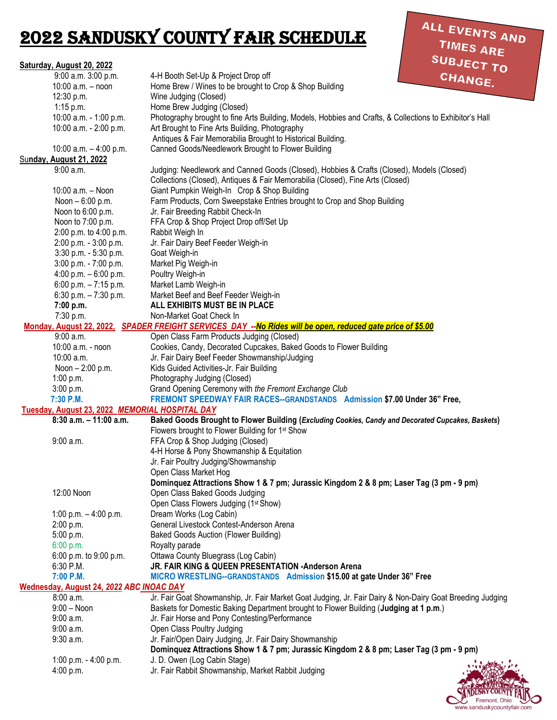## 2022 Sandusky County Fair Schedule

|                                                | ALL EVENTS AND<br>2022 SANDUSKY COUNTY FAIR SCHEDULE                                                       |
|------------------------------------------------|------------------------------------------------------------------------------------------------------------|
|                                                | TIMES ARE                                                                                                  |
| Saturday, August 20, 2022                      | <b>SUBJECT TO</b>                                                                                          |
| 9:00 a.m. 3:00 p.m.                            | CHANGE.<br>4-H Booth Set-Up & Project Drop off                                                             |
| 10:00 a.m. - noon                              | Home Brew / Wines to be brought to Crop & Shop Building                                                    |
| 12:30 p.m.                                     | Wine Judging (Closed)                                                                                      |
| $1:15$ p.m.                                    | Home Brew Judging (Closed)                                                                                 |
| 10:00 a.m. - 1:00 p.m.                         | Photography brought to fine Arts Building, Models, Hobbies and Crafts, & Collections to Exhibitor's Hall   |
| 10:00 a.m. - 2:00 p.m.                         | Art Brought to Fine Arts Building, Photography                                                             |
|                                                | Antiques & Fair Memorabilia Brought to Historical Building.                                                |
| 10:00 a.m. - 4:00 p.m.                         | Canned Goods/Needlework Brought to Flower Building                                                         |
| Sunday, August 21, 2022                        |                                                                                                            |
| 9:00 a.m.                                      | Judging: Needlework and Canned Goods (Closed), Hobbies & Crafts (Closed), Models (Closed)                  |
|                                                |                                                                                                            |
|                                                | Collections (Closed), Antiques & Fair Memorabilia (Closed), Fine Arts (Closed)                             |
| 10:00 $a.m. - Noon$                            | Giant Pumpkin Weigh-In Crop & Shop Building                                                                |
| Noon $-6:00$ p.m.                              | Farm Products, Corn Sweepstake Entries brought to Crop and Shop Building                                   |
| Noon to 6:00 p.m.                              | Jr. Fair Breeding Rabbit Check-In                                                                          |
| Noon to 7:00 p.m.                              | FFA Crop & Shop Project Drop off/Set Up                                                                    |
| 2:00 p.m. to 4:00 p.m.                         | Rabbit Weigh In                                                                                            |
| 2:00 p.m. - 3:00 p.m.                          | Jr. Fair Dairy Beef Feeder Weigh-in                                                                        |
| 3:30 p.m. - 5:30 p.m.                          | Goat Weigh-in                                                                                              |
| 3:00 p.m. - 7:00 p.m.                          | Market Pig Weigh-in                                                                                        |
| 4:00 p.m. $-6:00$ p.m.                         | Poultry Weigh-in                                                                                           |
| 6:00 p.m. $-7:15$ p.m.                         | Market Lamb Weigh-in                                                                                       |
| 6:30 p.m. $-7:30$ p.m.                         | Market Beef and Beef Feeder Weigh-in                                                                       |
| 7:00 p.m.                                      | ALL EXHIBITS MUST BE IN PLACE                                                                              |
| 7:30 p.m.                                      | Non-Market Goat Check In                                                                                   |
|                                                | Monday, August 22, 2022, SPADER FREIGHT SERVICES DAY --No Rides will be open, reduced gate price of \$5.00 |
| 9:00 a.m.                                      | Open Class Farm Products Judging (Closed)                                                                  |
| 10:00 a.m. - noon                              | Cookies, Candy, Decorated Cupcakes, Baked Goods to Flower Building                                         |
| $10:00$ a.m.                                   | Jr. Fair Dairy Beef Feeder Showmanship/Judging                                                             |
| Noon - 2:00 p.m.                               | Kids Guided Activities-Jr. Fair Building                                                                   |
| 1:00 p.m.                                      | Photography Judging (Closed)                                                                               |
| 3:00 p.m.                                      | Grand Opening Ceremony with the Fremont Exchange Club                                                      |
| 7:30 P.M.                                      | FREMONT SPEEDWAY FAIR RACES--GRANDSTANDS Admission \$7.00 Under 36" Free,                                  |
| Tuesday, August 23, 2022 MEMORIAL HOSPITAL DAY |                                                                                                            |
| $8:30$ a.m. $-11:00$ a.m.                      | Baked Goods Brought to Flower Building (Excluding Cookies, Candy and Decorated Cupcakes, Baskets)          |
|                                                | Flowers brought to Flower Building for 1 <sup>st</sup> Show                                                |
| 9:00 a.m.                                      | FFA Crop & Shop Judging (Closed)                                                                           |
|                                                | 4-H Horse & Pony Showmanship & Equitation                                                                  |
|                                                | Jr. Fair Poultry Judging/Showmanship                                                                       |
|                                                | Open Class Market Hog                                                                                      |
|                                                | Dominquez Attractions Show 1 & 7 pm; Jurassic Kingdom 2 & 8 pm; Laser Tag (3 pm - 9 pm)                    |
| 12:00 Noon                                     | Open Class Baked Goods Judging                                                                             |
|                                                | Open Class Flowers Judging (1 <sup>st</sup> Show)                                                          |
| 1:00 p.m. $-$ 4:00 p.m.                        | Dream Works (Log Cabin)                                                                                    |
| 2:00 p.m.                                      | General Livestock Contest-Anderson Arena                                                                   |
| 5:00 p.m.                                      | <b>Baked Goods Auction (Flower Building)</b>                                                               |
| 6:00 p.m.                                      | Royalty parade                                                                                             |
| 6:00 p.m. to 9:00 p.m.                         | Ottawa County Bluegrass (Log Cabin)                                                                        |
| 6:30 P.M.                                      | JR. FAIR KING & QUEEN PRESENTATION - Anderson Arena                                                        |
| 7:00 P.M.                                      | MICRO WRESTLING--GRANDSTANDS Admission \$15.00 at gate Under 36" Free                                      |
| Wednesday, August 24, 2022 ABC INOAC DAY       |                                                                                                            |
| 8:00 a.m.                                      | Jr. Fair Goat Showmanship, Jr. Fair Market Goat Judging, Jr. Fair Dairy & Non-Dairy Goat Breeding Judging  |
| $9:00 - N$ oon                                 | Baskets for Domestic Baking Department brought to Flower Building (Judging at 1 p.m.)                      |
|                                                |                                                                                                            |
| 9:00 a.m.                                      | Jr. Fair Horse and Pony Contesting/Performance                                                             |
| 9:00 a.m.                                      | Open Class Poultry Judging                                                                                 |
| 9:30 a.m.                                      | Jr. Fair/Open Dairy Judging, Jr. Fair Dairy Showmanship                                                    |
|                                                | Dominquez Attractions Show 1 & 7 pm; Jurassic Kingdom 2 & 8 pm; Laser Tag (3 pm - 9 pm)                    |
| 1:00 p.m. - 4:00 p.m.                          | J. D. Owen (Log Cabin Stage)                                                                               |
| 4:00 p.m.                                      | Jr. Fair Rabbit Showmanship, Market Rabbit Judging                                                         |